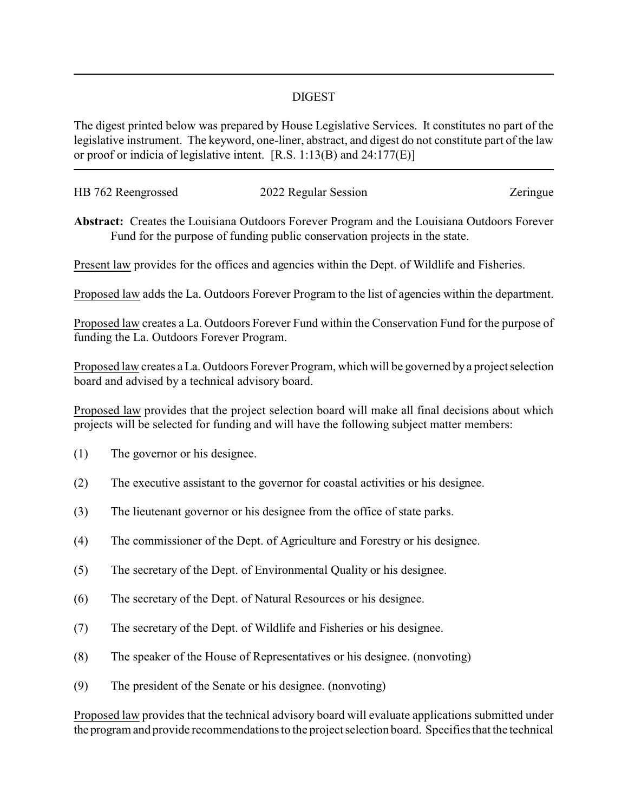## DIGEST

The digest printed below was prepared by House Legislative Services. It constitutes no part of the legislative instrument. The keyword, one-liner, abstract, and digest do not constitute part of the law or proof or indicia of legislative intent. [R.S. 1:13(B) and 24:177(E)]

| HB 762 Reengrossed | 2022 Regular Session | Zeringue |
|--------------------|----------------------|----------|
|                    |                      |          |

**Abstract:** Creates the Louisiana Outdoors Forever Program and the Louisiana Outdoors Forever Fund for the purpose of funding public conservation projects in the state.

Present law provides for the offices and agencies within the Dept. of Wildlife and Fisheries.

Proposed law adds the La. Outdoors Forever Program to the list of agencies within the department.

Proposed law creates a La. Outdoors Forever Fund within the Conservation Fund for the purpose of funding the La. Outdoors Forever Program.

Proposed law creates a La. Outdoors Forever Program, which will be governed by a project selection board and advised by a technical advisory board.

Proposed law provides that the project selection board will make all final decisions about which projects will be selected for funding and will have the following subject matter members:

- (1) The governor or his designee.
- (2) The executive assistant to the governor for coastal activities or his designee.
- (3) The lieutenant governor or his designee from the office of state parks.
- (4) The commissioner of the Dept. of Agriculture and Forestry or his designee.
- (5) The secretary of the Dept. of Environmental Quality or his designee.
- (6) The secretary of the Dept. of Natural Resources or his designee.
- (7) The secretary of the Dept. of Wildlife and Fisheries or his designee.
- (8) The speaker of the House of Representatives or his designee. (nonvoting)
- (9) The president of the Senate or his designee. (nonvoting)

Proposed law provides that the technical advisory board will evaluate applications submitted under the program and provide recommendations to the project selection board. Specifies that the technical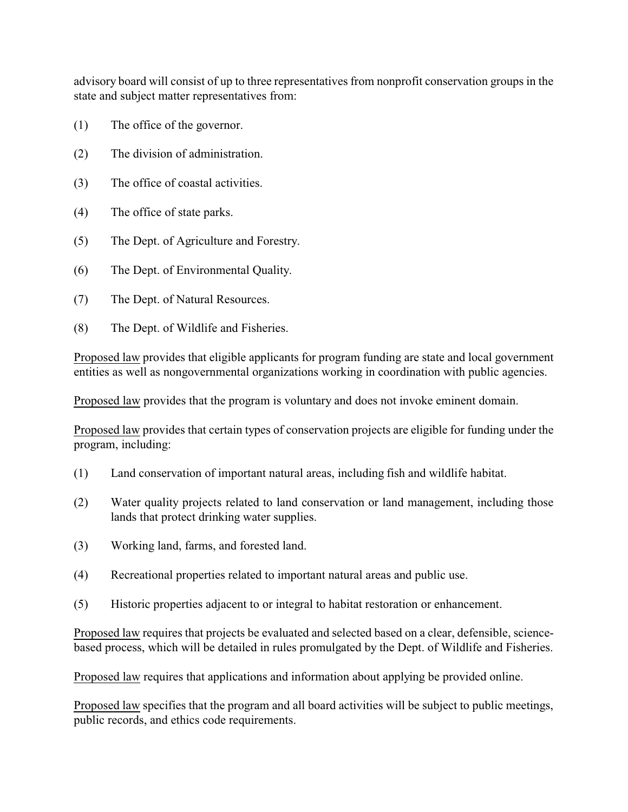advisory board will consist of up to three representatives from nonprofit conservation groups in the state and subject matter representatives from:

- (1) The office of the governor.
- (2) The division of administration.
- (3) The office of coastal activities.
- (4) The office of state parks.
- (5) The Dept. of Agriculture and Forestry.
- (6) The Dept. of Environmental Quality.
- (7) The Dept. of Natural Resources.
- (8) The Dept. of Wildlife and Fisheries.

Proposed law provides that eligible applicants for program funding are state and local government entities as well as nongovernmental organizations working in coordination with public agencies.

Proposed law provides that the program is voluntary and does not invoke eminent domain.

Proposed law provides that certain types of conservation projects are eligible for funding under the program, including:

- (1) Land conservation of important natural areas, including fish and wildlife habitat.
- (2) Water quality projects related to land conservation or land management, including those lands that protect drinking water supplies.
- (3) Working land, farms, and forested land.
- (4) Recreational properties related to important natural areas and public use.
- (5) Historic properties adjacent to or integral to habitat restoration or enhancement.

Proposed law requires that projects be evaluated and selected based on a clear, defensible, sciencebased process, which will be detailed in rules promulgated by the Dept. of Wildlife and Fisheries.

Proposed law requires that applications and information about applying be provided online.

Proposed law specifies that the program and all board activities will be subject to public meetings, public records, and ethics code requirements.